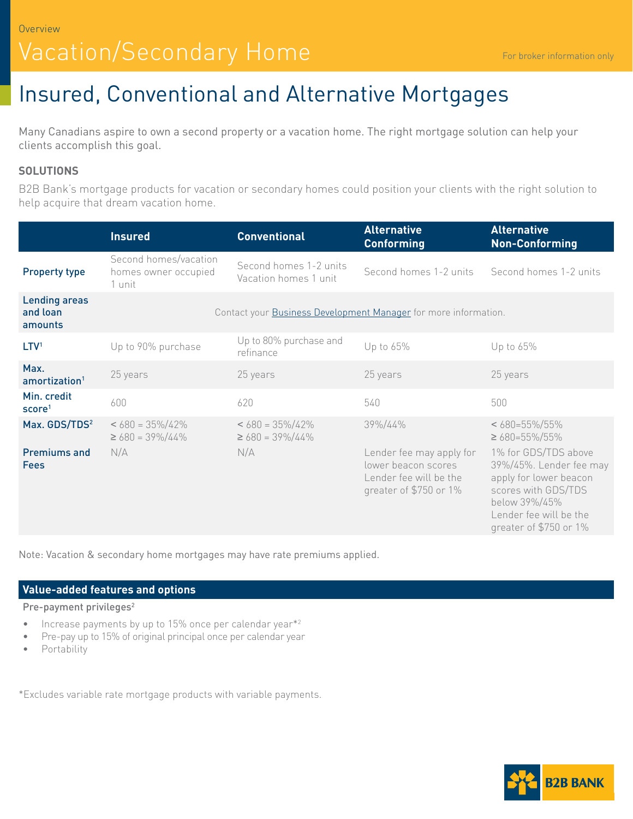# Vacation/Secondary Home

# Insured, Conventional and Alternative Mortgages

Many Canadians aspire to own a second property or a vacation home. The right mortgage solution can help your clients accomplish this goal.

## **SOLUTIONS**

B2B Bank's mortgage products for vacation or secondary homes could position your clients with the right solution to help acquire that dream vacation home.

|                                             | <b>Insured</b>                                                  | <b>Conventional</b>                             | <b>Alternative</b><br><b>Conforming</b>                                                             | <b>Alternative</b><br><b>Non-Conforming</b>                                                                                                                           |
|---------------------------------------------|-----------------------------------------------------------------|-------------------------------------------------|-----------------------------------------------------------------------------------------------------|-----------------------------------------------------------------------------------------------------------------------------------------------------------------------|
| <b>Property type</b>                        | Second homes/vacation<br>homes owner occupied<br>1 unit         | Second homes 1-2 units<br>Vacation homes 1 unit | Second homes 1-2 units                                                                              | Second homes 1-2 units                                                                                                                                                |
| <b>Lending areas</b><br>and loan<br>amounts | Contact your Business Development Manager for more information. |                                                 |                                                                                                     |                                                                                                                                                                       |
| LTV <sup>1</sup>                            | Up to 90% purchase                                              | Up to 80% purchase and<br>refinance             | Up to 65%                                                                                           | Up to 65%                                                                                                                                                             |
| Max.<br>amortization <sup>1</sup>           | 25 years                                                        | 25 years                                        | 25 years                                                                                            | 25 years                                                                                                                                                              |
| Min. credit<br>score <sup>1</sup>           | 600                                                             | 620                                             | 540                                                                                                 | 500                                                                                                                                                                   |
| Max. GDS/TDS <sup>2</sup>                   | $< 680 = 35\%/42\%$<br>$\geq 680 = 39\%/44\%$                   | $< 680 = 35\%/42\%$<br>$\geq 680 = 39\%/44\%$   | 39%/44%                                                                                             | $< 680 = 55\%/55\%$<br>$\geq$ 680=55%/55%                                                                                                                             |
| <b>Premiums and</b><br>Fees                 | N/A                                                             | N/A                                             | Lender fee may apply for<br>lower beacon scores<br>Lender fee will be the<br>greater of \$750 or 1% | 1% for GDS/TDS above<br>39%/45%. Lender fee may<br>apply for lower beacon<br>scores with GDS/TDS<br>below 39%/45%<br>Lender fee will be the<br>greater of \$750 or 1% |

Note: Vacation & secondary home mortgages may have rate premiums applied.

#### **Value-added features and options**

Pre-payment privileges<sup>2</sup>

- Increase payments by up to 15% once per calendar year $*2$
- Pre-pay up to 15% of original principal once per calendar year
- Portability

\*Excludes variable rate mortgage products with variable payments.